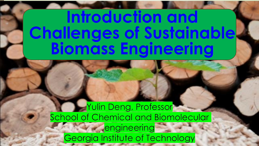# **Introduction and Challenges of Sustainable Biomass Engineering**

### **Yulin Deng, Professor** School of Chemical and Biomolecular **Pengineering** Georgia Institute of Technology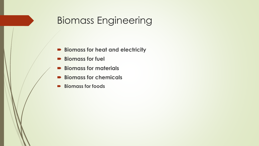# Biomass Engineering

- **Biomass for heat and electricity**
- **Biomass for fuel**
- **Biomass for materials**
- **Biomass for chemicals**
- **Biomass for foods**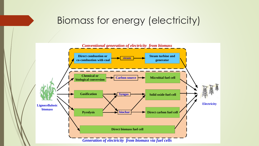## Biomass for energy (electricity)

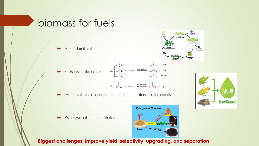### biomass for fuels

**Algal biofuel** 

**Fats esterification** 





**PROTIEN** 

**BIODIESEI** 

RENEWABLE

**GLYCERIN**<br>PRODUCTS

OIL<br>EXTRACTIOI

Ethanol from crops and lignocellulosic materials

Pyrolysis of lignocellulose



**Biggest challenges: improve yield, selectivity, upgrading, and separation**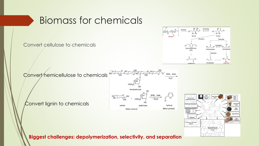## Biomass for chemicals

Convert cellulose to chemicals



Convert hemicellulose to chemicals BAIL, heat hemicellulose BAIL, heat  $-3H<sub>2</sub>O$ Convert lignin to chemicals furfural Minor product Major product



**Biggest challenges: depolymerization, selectivity, and separation**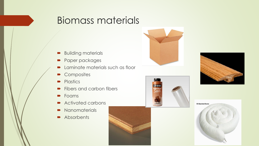- **Building materials**
- **Paper packages**
- Laminate materials such as floor
- Composites
- Plastics
- **Fibers and carbon fibers**
- **Foams**
- **•** Activated carbons
- Nanomaterials
- **Absorbents**







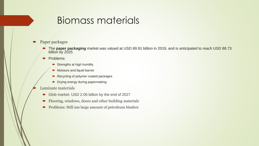#### Paper packages

- The **paper packaging** market was valued at USD 69.91 billion in 2019, and is anticipated to reach USD 88.73 billion by 2025
- Problems:
	- $\blacktriangleright$  Strengths at high humility
	- Moisture and liquid barrier
	- Recycling of polymer coated packages
	- **Drying energy during papermaking**

#### Laminate materials

- Glob market: USD 2.06 billion by the end of 2027
- Flooring, windows, doors and other building materials
- **Problems: Still use large amount of petroleum binders**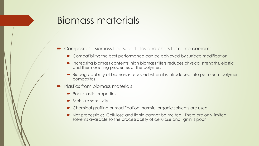- Composites: Biomass fibers, particles and chars for reinforcement:
	- Compatibility: the best performance can be achieved by surface modification
	- **Increasing biomass contents: high biomass fillers reduces physical strengths, elastic** and thermosetting properties of the polymers
	- Biodegradability of biomass is reduced when it is introduced into petroleum polymer composites
- Plastics from biomass materials
	- Poor elastic properties
	- Moisture sensitivity
	- Chemical grafting or modification: harmful organic solvents are used
	- Not processible: Cellulose and lignin cannot be melted; There are only limited solvents available so the processability of cellulose and lignin is poor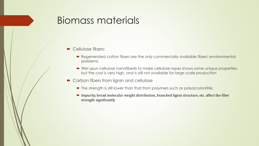- Cellulose fibers:
	- Regenerated cotton fibers are the only commercially available fibers: environmental problems
	- Wet spun cellulose nanofiberils to make cellulose ropes shows some unique properties, but the cost is very high, and is still not available for large scale production
- Carbon fibers from lignin and cellulose
	- The strength is still lower than that from polymers such as polyacrylonitrile
	- Impurity, broad molecular weight distribution, branched lignin structure, etc. affect the fiber strength significantly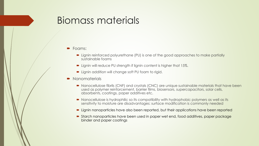#### **Foams:**

- Lignin reinforced polyurethane (PU) is one of the good approaches to make partially sustainable foams
- **D** Lignin will reduce PU strength if lignin content is higher that 15%.
- **D** Lignin addition will change soft PU foam to rigid.

#### • Nanomaterials

- Nanocellulose fibrils (CNF) and crystals (CNC) are unique sustainable materials that have been used as polymer reinforcement, barrier films, biosensors, supercapacitors, solar cells, absorbents, coatings, paper additives etc.
- Nanocellulose is hydrophilic so its compatibility with hydrophobic polymers as well as its sensitivity to moisture are disadvantages: surface modification is commonly needed
- Lignin nanoparticles have also been reported, but their applications have been reported
- Starch nanoparticles have been used in paper wet end, food additives, paper package binder and paper coatings